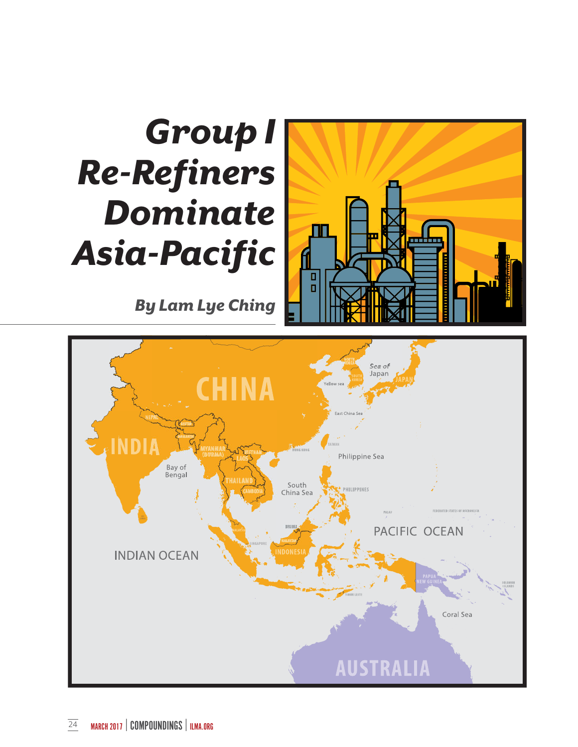## *Group I Re-Refiners Dominate Asia-Pacific*

 *By Lam Lye Ching*



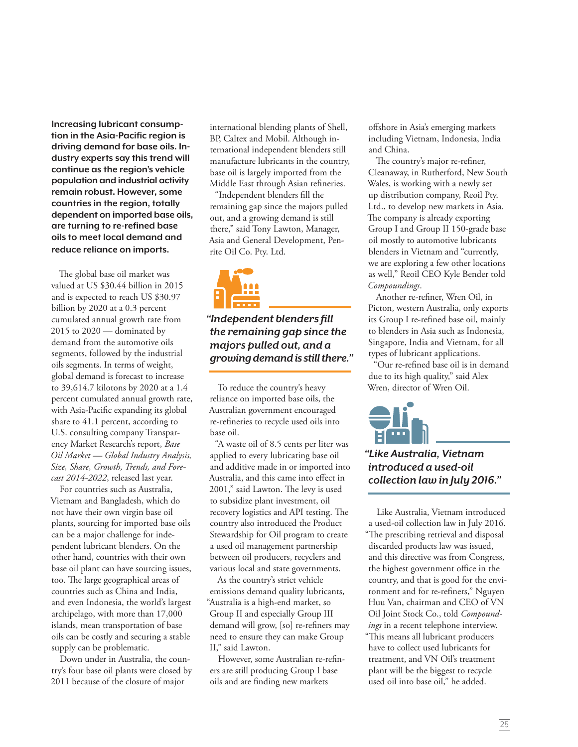**Increasing lubricant consumption in the Asia-Pacific region is driving demand for base oils. Industry experts say this trend will continue as the region's vehicle population and industrial activity remain robust. However, some countries in the region, totally dependent on imported base oils, are turning to re-refined base oils to meet local demand and reduce reliance on imports.**

he global base oil market was valued at US \$30.44 billion in 2015 and is expected to reach US \$30.97 billion by 2020 at a 0.3 percent cumulated annual growth rate from 2015 to 2020 — dominated by demand from the automotive oils segments, followed by the industrial oils segments. In terms of weight, global demand is forecast to increase to 39,614.7 kilotons by 2020 at a 1.4 percent cumulated annual growth rate, with Asia-Pacific expanding its global share to 41.1 percent, according to U.S. consulting company Transparency Market Research's report, *Base Oil Market — Global Industry Analysis, Size, Share, Growth, Trends, and Forecast 2014-2022*, released last year.

For countries such as Australia, Vietnam and Bangladesh, which do not have their own virgin base oil plants, sourcing for imported base oils can be a major challenge for independent lubricant blenders. On the other hand, countries with their own base oil plant can have sourcing issues, too. The large geographical areas of countries such as China and India, and even Indonesia, the world's largest archipelago, with more than 17,000 islands, mean transportation of base oils can be costly and securing a stable supply can be problematic.

Down under in Australia, the country's four base oil plants were closed by 2011 because of the closure of major

international blending plants of Shell, BP, Caltex and Mobil. Although international independent blenders still manufacture lubricants in the country, base oil is largely imported from the Middle East through Asian refineries.

"Independent blenders fill the remaining gap since the majors pulled out, and a growing demand is still there," said Tony Lawton, Manager, Asia and General Development, Penrite Oil Co. Pty. Ltd.



*"Independent blenders fill the remaining gap since the majors pulled out, and a growing demand is still there."*

To reduce the country's heavy reliance on imported base oils, the Australian government encouraged re-refineries to recycle used oils into base oil.

"A waste oil of 8.5 cents per liter was applied to every lubricating base oil and additive made in or imported into Australia, and this came into efect in 2001," said Lawton. The levy is used to subsidize plant investment, oil recovery logistics and API testing. The country also introduced the Product Stewardship for Oil program to create a used oil management partnership between oil producers, recyclers and various local and state governments.

As the country's strict vehicle emissions demand quality lubricants, "Australia is a high-end market, so Group II and especially Group III demand will grow, [so] re-refiners may need to ensure they can make Group II," said Lawton.

However, some Australian re-refiners are still producing Group I base oils and are finding new markets

ofshore in Asia's emerging markets including Vietnam, Indonesia, India and China.

The country's major re-refiner, Cleanaway, in Rutherford, New South Wales, is working with a newly set up distribution company, Reoil Pty. Ltd., to develop new markets in Asia. he company is already exporting Group I and Group II 150-grade base oil mostly to automotive lubricants blenders in Vietnam and "currently, we are exploring a few other locations as well," Reoil CEO Kyle Bender told *Compoundings*.

Another re-refiner, Wren Oil, in Picton, western Australia, only exports its Group I re-refined base oil, mainly to blenders in Asia such as Indonesia, Singapore, India and Vietnam, for all types of lubricant applications.

"Our re-reined base oil is in demand due to its high quality," said Alex Wren, director of Wren Oil.



## *"Like Australia, Vietnam introduced a used-oil collection law in July 2016."*

Like Australia, Vietnam introduced a used-oil collection law in July 2016. "he prescribing retrieval and disposal discarded products law was issued, and this directive was from Congress, the highest government office in the country, and that is good for the environment and for re-refiners," Nguyen Huu Van, chairman and CEO of VN Oil Joint Stock Co., told *Compoundings* in a recent telephone interview. "his means all lubricant producers have to collect used lubricants for treatment, and VN Oil's treatment plant will be the biggest to recycle used oil into base oil," he added.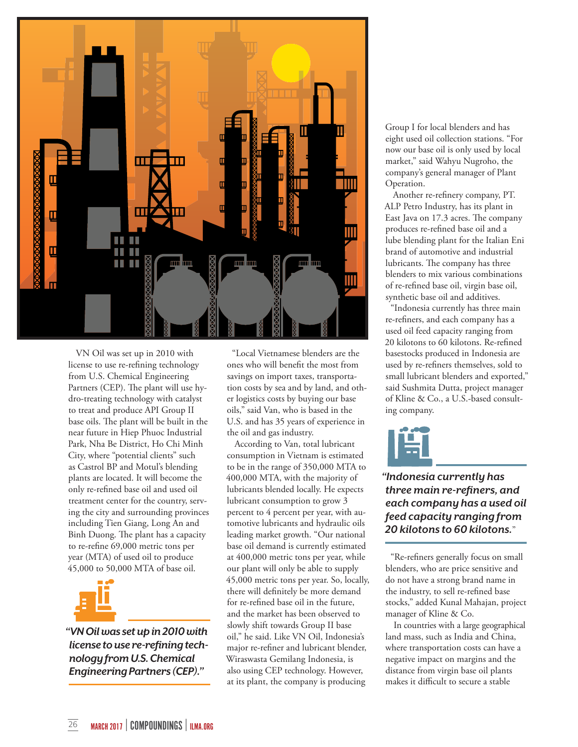

VN Oil was set up in 2010 with license to use re-refining technology from U.S. Chemical Engineering Partners (CEP). The plant will use hydro-treating technology with catalyst to treat and produce API Group II base oils. The plant will be built in the near future in Hiep Phuoc Industrial Park, Nha Be District, Ho Chi Minh City, where "potential clients" such as Castrol BP and Motul's blending plants are located. It will become the only re-refined base oil and used oil treatment center for the country, serving the city and surrounding provinces including Tien Giang, Long An and Binh Duong. The plant has a capacity to re-refine 69,000 metric tons per year (MTA) of used oil to produce 45,000 to 50,000 MTA of base oil.



*"VN Oil was set up in 2010 with license to use re-refining technology from U.S. Chemical Engineering Partners (CEP)."*

"Local Vietnamese blenders are the ones who will benefit the most from savings on import taxes, transportation costs by sea and by land, and other logistics costs by buying our base oils," said Van, who is based in the U.S. and has 35 years of experience in the oil and gas industry.

According to Van, total lubricant consumption in Vietnam is estimated to be in the range of 350,000 MTA to 400,000 MTA, with the majority of lubricants blended locally. He expects lubricant consumption to grow 3 percent to 4 percent per year, with automotive lubricants and hydraulic oils leading market growth. "Our national base oil demand is currently estimated at 400,000 metric tons per year, while our plant will only be able to supply 45,000 metric tons per year. So, locally, there will definitely be more demand for re-refined base oil in the future, and the market has been observed to slowly shift towards Group II base oil," he said. Like VN Oil, Indonesia's major re-refiner and lubricant blender, Wiraswasta Gemilang Indonesia, is also using CEP technology. However, at its plant, the company is producing

Group I for local blenders and has eight used oil collection stations. "For now our base oil is only used by local market," said Wahyu Nugroho, the company's general manager of Plant Operation.

Another re-refinery company, PT. ALP Petro Industry, has its plant in East Java on 17.3 acres. The company produces re-refined base oil and a lube blending plant for the Italian Eni brand of automotive and industrial lubricants. The company has three blenders to mix various combinations of re-refined base oil, virgin base oil, synthetic base oil and additives.

"Indonesia currently has three main re-refiners, and each company has a used oil feed capacity ranging from 20 kilotons to 60 kilotons. Re-refined basestocks produced in Indonesia are used by re-refiners themselves, sold to small lubricant blenders and exported," said Sushmita Dutta, project manager of Kline & Co., a U.S.-based consulting company.



*"Indonesia currently has three main re-refiners, and each company has a used oil feed capacity ranging from 20 kilotons to 60 kilotons.*"

"Re-refiners generally focus on small blenders, who are price sensitive and do not have a strong brand name in the industry, to sell re-refined base stocks," added Kunal Mahajan, project manager of Kline & Co.

In countries with a large geographical land mass, such as India and China, where transportation costs can have a negative impact on margins and the distance from virgin base oil plants makes it difficult to secure a stable